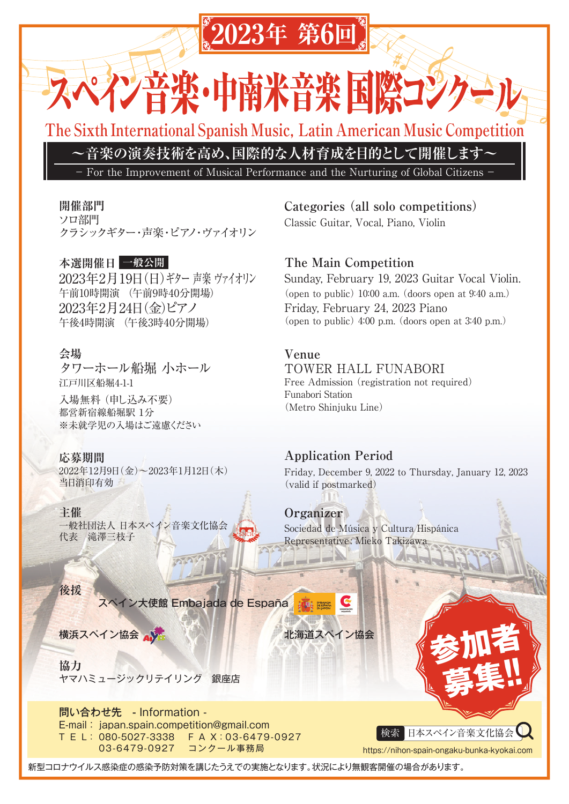# **2023年 第6回**

米善楽 国際コンク **这张·叶博** 

**The Sixth International Spanish Music, Latin American Music Competition** 

**~音楽の演奏技術を高め、国際的な人材育成を目的として開催します~**

For the Improvement of Musical Performance and the Nurturing of Global Citizens

### **開催部門**

ソロ部門 クラシックギター・声楽・ピアノ・ヴァイオリン

### **本選開催日 一般公開**

2023年2月19日(日)ギター 声楽 ヴァイオリン 午前10時開演 (午前9時40分開場) 2023年2月24日(金)ピアノ 午後4時開演 (午後3時40分開場)

### **会場**

タワーホール船堀 小ホール 江戸川区船堀4-1-1 入場無料 (申し込み不要)

都営新宿線船堀駅 1分 ※未就学児の入場はご遠慮ください

### **応募期間**

2022年12月9日(金)~2023年1月12日(木) 当日消印有効

### **主催**

**後援**

一般社団法人 日本スペイン音楽文化協会 代表 滝澤三枝子

スペイン大使館 Embajada de España

横浜スペイン協会 小海道スペイン協会

**協力** ヤマハミュージックリテイリング 銀座店

問い合わせ先 - Information - E-mail : japan.spain.competition@gmail.com T E L : 080-5027-3338 F A X:03-6479-0927 03-6479-0927 コンクール事務局

**Categories (all solo competitions)** Classic Guitar, Vocal, Piano, Violin

## **The Main Competition**

Sunday, February 19, 2023 Guitar Vocal Violin. (open to public)  $10:00$  a.m. (doors open at  $9:40$  a.m.) Friday, February 24, 2023 Piano (open to public)  $4:00$  p.m. (doors open at  $3:40$  p.m.)

### **Venue**

TOWER HALL FUNABORI Free Admission (registration not required) Funabori Station (Metro Shinjuku Line)

### **Application Period**

Friday, December 9, 2022 to Thursday, January 12, 2023 (valid if postmarked)

## **Organizer**

Sociedad de Música y Cultura Hispánica Representative: Mieko Takizawa

検索 日本スペイン音楽文化協会

多加者

**募集!!**

https://nihon-spain-ongaku-bunka-kyokai.com

新型コロナウイルス感染症の感染予防対策を講じたうえでの実施となります。状況により無観客開催の場合があります。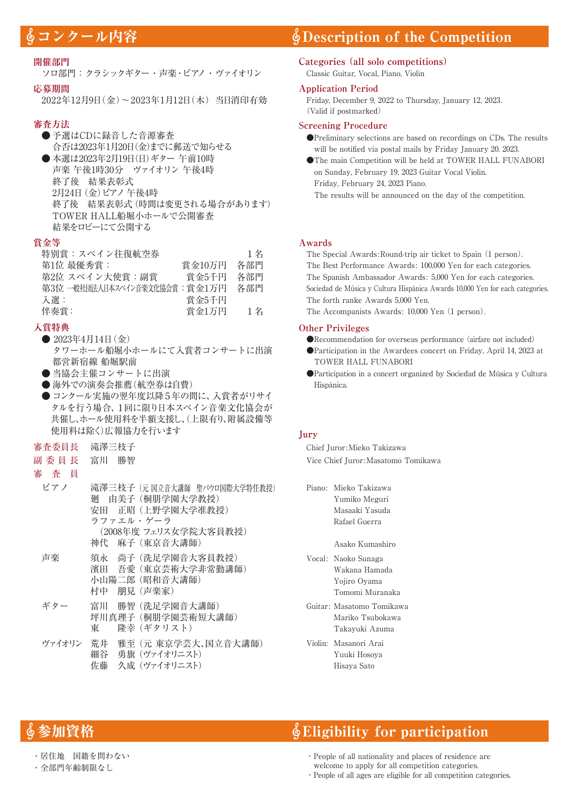#### **開催部門**

ソロ部門:クラシックギター・声楽・ピアノ・ヴァイオリン

#### **応募期間**

2022年12月9日(金)~2023年1月12日(木)⦆当日消印有効

#### **審査方法**

- 予選はCDに録音した音源審査 合否は2023年1月20日(金)までに郵送で知らせる ● 本選は2023年2月19日(日)ギター 午前10時 声楽 午後1時30分 ヴァイオリン 午後4時 終了後 結果表彰式
	- 2月24日(金)ピアノ 午後4時
	- 終了後 結果表彰式(時間は変更される場合があります) TOWER HALL船堀小ホールで公開審査
	- 結果をロビーにて公開する

#### **賞金等**

| 特別賞:スペイン往復航空券                     |        | 1名  |
|-----------------------------------|--------|-----|
| 第1位 最優秀賞:                         | 賞金10万円 | 各部門 |
| 第2位 スペイン大使賞:副賞                    | 賞金5千円  | 各部門 |
| 第3位 一般社団法人日本スペイン音楽文化協会賞 : 賞 金1万 円 |        | 各部門 |
| 入選:                               | 賞金5千円  |     |
| 伴奏嘗:                              | 賞金1万円  | 1名  |

#### **入賞特典**

- 2023年4月14日(金) タワーホール船堀小ホールにて入賞者コンサートに出演 都営新宿線 船堀駅前
- 当協会主催コンサートに出演
- 海外での演奏会推薦(航空券は自費)
- コンクール実施の翌年度以降5年の間に、入賞者がリサイ タルを行う場合、1回に限り日本スペイン音楽文化協会が 共催し、ホール使用料を半額支援し、(上限有り、附属設備等 使用料は除く)広報協力を行います
- 審査委員長 滝澤三枝子
- 副 委 員 長 富川 勝智

#### 審 査 員

#### ピアノ 滝澤三枝子 (元 国立音大講師 聖パウロ国際大学特任教授) 廻 由美子 (桐朋学園大学教授) 安田 正昭 (上野学園大学准教授) ラファエル・ゲーラ (2008年度 フェリス女学院大客員教授) 神代 麻子 (東京音大講師) 声楽 須永 尚子 (洗足学園音大客員教授) 濱田 吾愛 (東京芸術大学非常勤講師) 小山陽二郎 (昭和音大講師) 村中 朋見 (声楽家) ギター 富川 勝智 (洗足学園音大講師) 坪川真理子 (桐朋学園芸術短大講師) 東 隆幸 (ギタリスト)

### ヴァイオリン 荒井 雅至 (元 東京学芸大、国立音大講師) 細谷 勇旗 (ヴァイオリニスト) 佐藤 久成 (ヴァイオリニスト)

## **《コンクール内容 の Description of the Competition**

### **Categories (all solo competitions)**

Classic Guitar, Vocal, Piano, Violin

#### **Application Period**

Friday, December 9, 2022 to Thursday, January 12, 2023. (Valid if postmarked)

#### **Screening Procedure**

- ●Preliminary selections are based on recordings on CDs. The results will be notified via postal mails by Friday January 20. 2023.
- ●The main Competition will be held at TOWER HALL FUNABORI on Sunday, February 19, 2023 Guitar Vocal Violin. Friday, February 24, 2023 Piano.

The results will be announced on the day of the competition.

#### **Awards**

The Special Awards:Round-trip air ticket to Spain (1 person). The Best Performance Awards: 100,000 Yen for each categories. The Spanish Ambassador Awards: 5,000 Yen for each categories. Sociedad de Música y Cultura Hispánica Awards 10,000 Yen for each categories. The forth ranke Awards 5,000 Yen.

The Accompanists Awards: 10,000 Yen (1 person).

#### **Other Privileges**

- ●Recommendation for overseas performance (airfare not included)
- ●Participation in the Awardees concert on Friday, April 14, 2023 at TOWER HALL FUNABORI
- ●Participation in a concert organized by Sociedad de Música y Cultura Hispánica.

#### **Jury**

Chief Juror:Mieko Takizawa Vice Chief Juror:Masatomo Tomikawa

| Piano: Mieko Takizawa     |
|---------------------------|
| Yumiko Meguri             |
| Masaaki Yasuda            |
| Rafael Guerra             |
|                           |
| Asako Kumashiro           |
| Vocal: Naoko Sunaga       |
| Wakana Hamada             |
| Yojiro Oyama              |
| Tomomi Muranaka           |
| Guitar: Masatomo Tomikawa |
| Mariko Tsubokawa          |
| Takayuki Azuma            |
| Violin: Masanori Arai     |
| Yuuki Hosoya              |
| Hisaya Sato               |

## **加資格 Eligibility for participation**

- ・居住地 国籍を問わない
- ・全部門年齢制限なし
- ・People of all nationality and places of residence are welcome to apply for all competition categories.
- ・People of all ages are eligible for all competition categories.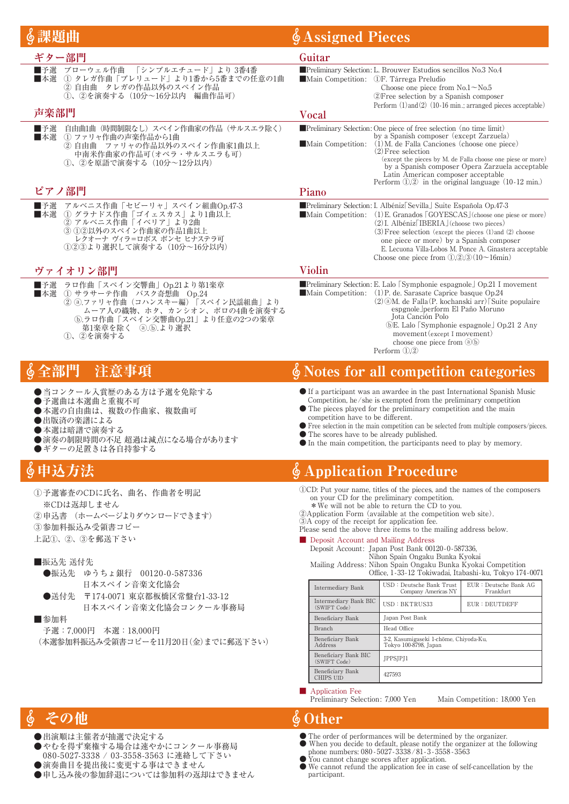|                                                                                                                                                                                                                         | <b>Assigned Pieces</b>                                                                                                                                                                                                                                                                                                                                                                                                                                                                                                                                                                                                                 |                                                                                                                                                                                                                                                                                                                                                                                      |                                                                                                                |  |  |
|-------------------------------------------------------------------------------------------------------------------------------------------------------------------------------------------------------------------------|----------------------------------------------------------------------------------------------------------------------------------------------------------------------------------------------------------------------------------------------------------------------------------------------------------------------------------------------------------------------------------------------------------------------------------------------------------------------------------------------------------------------------------------------------------------------------------------------------------------------------------------|--------------------------------------------------------------------------------------------------------------------------------------------------------------------------------------------------------------------------------------------------------------------------------------------------------------------------------------------------------------------------------------|----------------------------------------------------------------------------------------------------------------|--|--|
| ギター部門                                                                                                                                                                                                                   | Guitar                                                                                                                                                                                                                                                                                                                                                                                                                                                                                                                                                                                                                                 |                                                                                                                                                                                                                                                                                                                                                                                      |                                                                                                                |  |  |
| ブローウェル作曲<br>「シンプルエチュード」より3番4番<br>■予選<br>1 タレガ作曲「プレリュード」より1番から5番までの任意の1曲<br>■本選<br>② 自由曲 タレガの作品以外のスペイン作品<br>①、②を演奏する (10分~16分以内 編曲作品可)<br>声楽部門                                                                           | $\blacksquare$ Main Competition: (1)F. Tárrega Preludio                                                                                                                                                                                                                                                                                                                                                                                                                                                                                                                                                                                | Preliminary Selection: L. Brouwer Estudios sencillos No.3 No.4<br>Choose one piece from $No.1 \sim No.5$<br>2) Free selection by a Spanish composer<br>Perform (1) and (2) (10-16 min.; arranged pieces acceptable)                                                                                                                                                                  |                                                                                                                |  |  |
| 自由曲1曲(時間制限なし)スペイン作曲家の作品(サルスエラ除く)<br>■予選                                                                                                                                                                                 | Vocal                                                                                                                                                                                                                                                                                                                                                                                                                                                                                                                                                                                                                                  | <b>Preliminary Selection:</b> One piece of free selection (no time limit)                                                                                                                                                                                                                                                                                                            |                                                                                                                |  |  |
| (1) ファリャ作曲の声楽作品から1曲<br>■本選<br>② 自由曲 ファリャの作品以外のスペイン作曲家1曲以上<br>中南米作曲家の作品可(オペラ・サルスエラも可)<br>①、②を原語で演奏する (10分~12分以内)                                                                                                         | Main Competition:                                                                                                                                                                                                                                                                                                                                                                                                                                                                                                                                                                                                                      | by a Spanish composer (except Zarzuela)<br>$(1)$ M, de Falla Canciones (choose one piece)<br>$(2)$ Free selection<br>Latin American composer acceptable<br>Perform $(1, 2)$ in the original language $(10-12 \text{ min.})$                                                                                                                                                          | (except the pieces by M. de Falla choose one piese or more)<br>by a Spanish composer Opera Zarzuela acceptable |  |  |
| ピアノ部門                                                                                                                                                                                                                   | Piano                                                                                                                                                                                                                                                                                                                                                                                                                                                                                                                                                                                                                                  |                                                                                                                                                                                                                                                                                                                                                                                      |                                                                                                                |  |  |
| アルベニス作曲「セビーリャ」スペイン組曲Op.47-3<br>■予選<br>1) グラナドス作曲「ゴイェスカス」より1曲以上<br>■本選<br>② アルベニス作曲「イベリア」より2曲<br>(3) 12以外のスペイン作曲家の作品1曲以上<br>レクオーナ ヴィラ=ロボス ポンセ ヒナステラ可<br>(1)②③より選択して演奏する(10分~16分以内)                                       |                                                                                                                                                                                                                                                                                                                                                                                                                                                                                                                                                                                                                                        | Preliminary Selection: I. Albéniz [Sevilla ] Suite Española Op.47-3<br><b>Main Competition:</b> (1) E. Granados $\lceil GOYESCAS \rceil$ (choose one piese or more)<br>$(2)$ I. Albéniz [IBERIA] (choose two pieces)<br>$(3)$ Free selection (except the pieces $(1)$ and $(2)$ choose<br>one piece or more) by a Spanish composer<br>Choose one piece from $(1,2,3)(10\sim 16$ min) | E. Lecuona Villa-Lobos M. Ponce A. Ginastera acceptable                                                        |  |  |
| ヴァイオリン部門                                                                                                                                                                                                                | Violin                                                                                                                                                                                                                                                                                                                                                                                                                                                                                                                                                                                                                                 |                                                                                                                                                                                                                                                                                                                                                                                      |                                                                                                                |  |  |
| ラロ作曲「スペイン交響曲」Op.21より第1楽章<br>■予選<br>① サラサーテ作曲 バスク奇想曲 Op.24<br>■本選<br>2 2 a.ファリャ作曲 (コハンスキー編)「スペイン民謡組曲」より<br>ムーア人の織物、ホタ、カンシオン、ポロの4曲を演奏する<br><b>5.ラロ作曲「スペイン交響曲Op.21」より任意の2つの楽章</b><br>(a).(b).より選択<br>第1楽章を除く<br>(1)、②を演奏する | Preliminary Selection: E. Lalo [Symphonie espagnole] Op.21 I movement<br>Main Competition: $(1)$ P. de. Sarasate Caprice basque Op.24<br>$(2)$ (a)M, de Falla (P, kochanski arr) Suite populaire<br>espgnole perform El Paño Moruno<br>Jota Canción Polo<br><b>(b)E.</b> Lalo Symphonie espagnole Op.21 2 Any<br>movement (except I movement)<br>choose one piece from $(a)(b)$<br>Perform $(1,2)$                                                                                                                                                                                                                                     |                                                                                                                                                                                                                                                                                                                                                                                      |                                                                                                                |  |  |
| ∮ 全部門<br>洋意事項                                                                                                                                                                                                           |                                                                                                                                                                                                                                                                                                                                                                                                                                                                                                                                                                                                                                        | <b>§Notes for all competition categories</b>                                                                                                                                                                                                                                                                                                                                         |                                                                                                                |  |  |
| ●当コンクール入賞歴のある方は予選を免除する<br>●予選曲は本選曲と重複不可<br>●本選の自由曲は、複数の作曲家、複数曲可<br>●出版済の楽譜による<br>●本選は暗譜で演奏する<br>●演奏の制限時間の不足 超過は減点になる場合があります<br>ギターの足置きは各自持参する                                                                           | • If a participant was an awardee in the past International Spanish Music<br>Competition, he/she is exempted from the preliminary competition<br>• The pieces played for the preliminary competition and the main<br>competition have to be different.<br>• Free selection in the main competition can be selected from multiple composers/pieces.<br>• The scores have to be already published.<br>$\bullet$ In the main competition, the participants need to play by memory.                                                                                                                                                        |                                                                                                                                                                                                                                                                                                                                                                                      |                                                                                                                |  |  |
| ∮申込方法                                                                                                                                                                                                                   |                                                                                                                                                                                                                                                                                                                                                                                                                                                                                                                                                                                                                                        | <b><i>§</i> Application Procedure</b>                                                                                                                                                                                                                                                                                                                                                |                                                                                                                |  |  |
| ①予選審査のCDに氏名、曲名、作曲者を明記<br>※CDは返却しません<br>②申込書 (ホームページよりダウンロードできます)<br>3参加料振込み受領書コピー<br>上記①、②、③を郵送下さい<br>■振込先 送付先<br>●振込先 ゆうちょ銀行 00120-0-587336                                                                            | ( <i>I)CD</i> : Put your name, titles of the pieces, and the names of the composers<br>on your CD for the preliminary competition.<br>* We will not be able to return the CD to you.<br>(2) Application Form (available at the competition web site).<br>3A copy of the receipt for application fee.<br>Please send the above three items to the mailing address below.<br><b>Deposit Account and Mailing Address</b><br>Deposit Account: Japan Post Bank 00120-0-587336.<br>Nihon Spain Ongaku Bunka Kyokai<br>Mailing Address: Nihon Spain Ongaku Bunka Kyokai Competition<br>Office, 1-33-12 Tokiwadai, Itabashi-ku, Tokyo 174-0071 |                                                                                                                                                                                                                                                                                                                                                                                      |                                                                                                                |  |  |
| 日本スペイン音楽文化協会                                                                                                                                                                                                            | Intermediary Bank                                                                                                                                                                                                                                                                                                                                                                                                                                                                                                                                                                                                                      | USD: Deutsche Bank Trust<br>Company Americas NY                                                                                                                                                                                                                                                                                                                                      | EUR : Deutsche Bank AG<br>Frankfurt                                                                            |  |  |
| ●送付先 〒174-0071 東京都板橋区常盤台1-33-12<br>日本スペイン音楽文化協会コンクール事務局                                                                                                                                                                 | Intermediary Bank BIC<br>(SWIFT Code)                                                                                                                                                                                                                                                                                                                                                                                                                                                                                                                                                                                                  | USD: BKTRUS33                                                                                                                                                                                                                                                                                                                                                                        | EUR: DEUTDEFF                                                                                                  |  |  |
| ■参加料                                                                                                                                                                                                                    | Beneficiary Bank                                                                                                                                                                                                                                                                                                                                                                                                                                                                                                                                                                                                                       | Japan Post Bank                                                                                                                                                                                                                                                                                                                                                                      |                                                                                                                |  |  |
| 予選: 7,000円 本選: 18,000円                                                                                                                                                                                                  | Head Office<br>Branch<br>Beneficiary Bank<br>3-2, Kasumigaseki 1-chōme, Chiyoda-Ku,                                                                                                                                                                                                                                                                                                                                                                                                                                                                                                                                                    |                                                                                                                                                                                                                                                                                                                                                                                      |                                                                                                                |  |  |
| (本選参加料振込み受領書コピーを11月20日(金)までに郵送下さい)                                                                                                                                                                                      | Address                                                                                                                                                                                                                                                                                                                                                                                                                                                                                                                                                                                                                                | Tokyo 100-8798, Japan                                                                                                                                                                                                                                                                                                                                                                |                                                                                                                |  |  |
|                                                                                                                                                                                                                         | Beneficiary Bank BIC<br>(SWIFT Code)                                                                                                                                                                                                                                                                                                                                                                                                                                                                                                                                                                                                   | JPPSJPJ1                                                                                                                                                                                                                                                                                                                                                                             |                                                                                                                |  |  |
|                                                                                                                                                                                                                         | Beneficiary Bank<br>CHIPS UID                                                                                                                                                                                                                                                                                                                                                                                                                                                                                                                                                                                                          | 427593                                                                                                                                                                                                                                                                                                                                                                               |                                                                                                                |  |  |
|                                                                                                                                                                                                                         | <b>Application Fee</b><br>Preliminary Selection: 7,000 Yen                                                                                                                                                                                                                                                                                                                                                                                                                                                                                                                                                                             |                                                                                                                                                                                                                                                                                                                                                                                      | Main Competition: 18,000 Yen                                                                                   |  |  |
| ∙の他                                                                                                                                                                                                                     | $\&$ Other                                                                                                                                                                                                                                                                                                                                                                                                                                                                                                                                                                                                                             |                                                                                                                                                                                                                                                                                                                                                                                      |                                                                                                                |  |  |

- ●出演順は主催者が抽選で決定する
- やむを得ず棄権する場合は速やかにコンクール事務局
- 080-5027-3338 / 03-3558-3563 に連絡して下さい
- 演奏曲目を提出後に変更する事はできません
- ●申し込み後の参加辞退については参加料の返却はできません

● The order of performances will be determined by the organizer. ● When you decide to default, please notify the organizer at the following

- phone numbers: 080 5027- 3338 /81-3 3558 3563
	- You cannot change scores after application.
	- We cannot refund the application fee in case of self-cancellation by the participant.